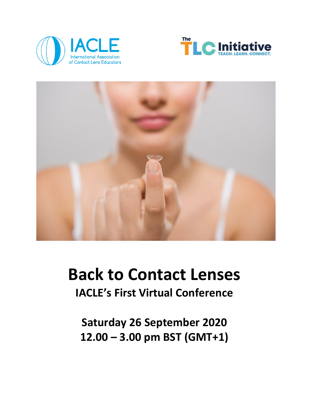





# **Back to Contact Lenses**

**IACLE's First Virtual Conference** 

**Saturday 26 September 2020 12.00 – 3.00 pm BST (GMT+1)**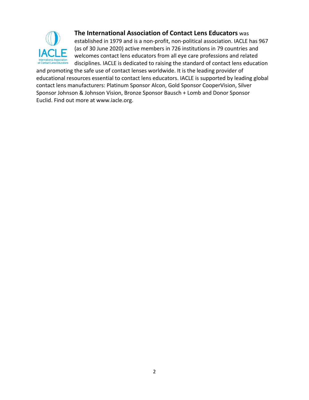

#### **The International Association of Contact Lens Educators** was

established in 1979 and is a non-profit, non-political association. IACLE has 967 (as of 30 June 2020) active members in 726 institutions in 79 countries and welcomes contact lens educators from all eye care professions and related disciplines. IACLE is dedicated to raising the standard of contact lens education

and promoting the safe use of contact lenses worldwide. It is the leading provider of educational resources essential to contact lens educators. IACLE is supported by leading global contact lens manufacturers: Platinum Sponsor Alcon, Gold Sponsor CooperVision, Silver Sponsor Johnson & Johnson Vision, Bronze Sponsor Bausch + Lomb and Donor Sponsor Euclid. Find out more at [www.iacle.org.](http://www.iacle.org/)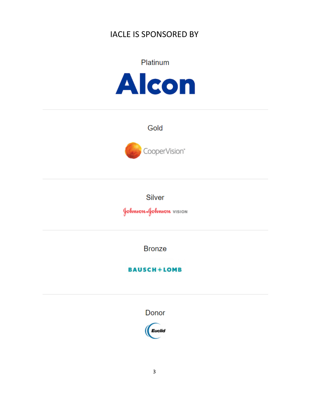# IACLE IS SPONSORED BY



Gold



Silver

JohnsonaJohnson vision

**Bronze** 

**BAUSCH+LOMB** 

Donor

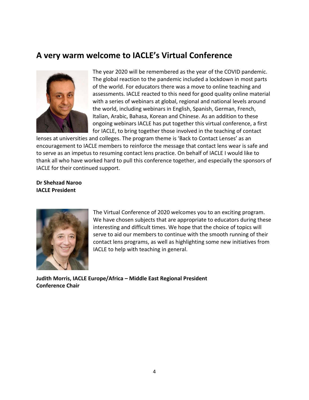# **A very warm welcome to IACLE's Virtual Conference**



The year 2020 will be remembered as the year of the COVID pandemic. The global reaction to the pandemic included a lockdown in most parts of the world. For educators there was a move to online teaching and assessments. IACLE reacted to this need for good quality online material with a series of webinars at global, regional and national levels around the world, including webinars in English, Spanish, German, French, Italian, Arabic, Bahasa, Korean and Chinese. As an addition to these ongoing webinars IACLE has put together this virtual conference, a first for IACLE, to bring together those involved in the teaching of contact

lenses at universities and colleges. The program theme is 'Back to Contact Lenses' as an encouragement to IACLE members to reinforce the message that contact lens wear is safe and to serve as an impetus to resuming contact lens practice. On behalf of IACLE I would like to thank all who have worked hard to pull this conference together, and especially the sponsors of IACLE for their continued support.

#### **Dr Shehzad Naroo IACLE President**



The Virtual Conference of 2020 welcomes you to an exciting program. We have chosen subjects that are appropriate to educators during these interesting and difficult times. We hope that the choice of topics will serve to aid our members to continue with the smooth running of their contact lens programs, as well as highlighting some new initiatives from IACLE to help with teaching in general.

**Judith Morris, IACLE Europe/Africa – Middle East Regional President Conference Chair**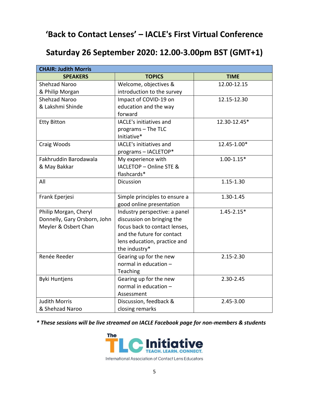# **'Back to Contact Lenses' – IACLE's First Virtual Conference**

# **Saturday 26 September 2020: 12.00-3.00pm BST (GMT+1)**

| <b>CHAIR: Judith Morris</b>  |                               |                |
|------------------------------|-------------------------------|----------------|
| <b>SPEAKERS</b>              | <b>TOPICS</b>                 | <b>TIME</b>    |
| <b>Shehzad Naroo</b>         | Welcome, objectives &         | 12.00-12.15    |
| & Philip Morgan              | introduction to the survey    |                |
| <b>Shehzad Naroo</b>         | Impact of COVID-19 on         | 12.15-12.30    |
| & Lakshmi Shinde             | education and the way         |                |
|                              | forward                       |                |
| <b>Etty Bitton</b>           | IACLE's initiatives and       | 12.30-12.45*   |
|                              | programs - The TLC            |                |
|                              | Initiative*                   |                |
| Craig Woods                  | IACLE's initiatives and       | 12.45-1.00*    |
|                              | programs - IACLETOP*          |                |
| Fakhruddin Barodawala        | My experience with            | $1.00 - 1.15*$ |
| & May Bakkar                 | IACLETOP - Online STE &       |                |
|                              | flashcards*                   |                |
| All                          | Dicussion                     | 1.15-1.30      |
|                              |                               |                |
| Frank Eperjesi               | Simple principles to ensure a | 1.30-1.45      |
|                              | good online presentation      |                |
| Philip Morgan, Cheryl        | Industry perspective: a panel | $1.45 - 2.15*$ |
| Donnelly, Gary Orsborn, John | discussion on bringing the    |                |
| Meyler & Osbert Chan         | focus back to contact lenses, |                |
|                              | and the future for contact    |                |
|                              | lens education, practice and  |                |
|                              | the industry*                 |                |
| Renée Reeder                 | Gearing up for the new        | $2.15 - 2.30$  |
|                              | normal in education -         |                |
|                              | Teaching                      |                |
| <b>Byki Huntjens</b>         | Gearing up for the new        | $2.30 - 2.45$  |
|                              | normal in education -         |                |
|                              | Assessment                    |                |
| <b>Judith Morris</b>         | Discussion, feedback &        | 2.45-3.00      |
| & Shehzad Naroo              | closing remarks               |                |

*\* These sessions will be live streamed on IACLE Facebook page for non-members & students*

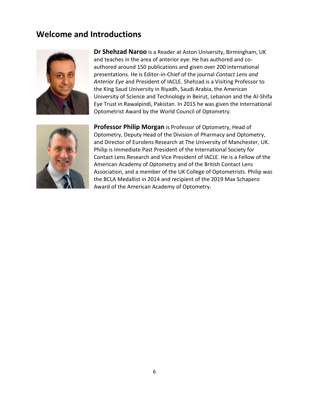## **Welcome and Introductions**



**Dr Shehzad Naroo** is a Reader at Aston University, Birmingham, UK and teaches in the area of anterior eye. He has authored and coauthored around 150 publications and given over 200 international presentations. He is Editor-in-Chief of the journal *Contact Lens and Anterior Eye* and President of IACLE. Shehzad is a Visiting Professor to the King Saud University in Riyadh, Saudi Arabia, the American University of Science and Technology in Beirut, Lebanon and the Al-Shifa Eye Trust in Rawalpindi, Pakistan. In 2015 he was given the International Optometrist Award by the World Council of Optometry.



**Professor Philip Morgan** is Professor of Optometry, Head of Optometry, Deputy Head of the Division of Pharmacy and Optometry, and Director of Eurolens Research at The University of Manchester, UK. Philip is Immediate Past President of the International Society for Contact Lens Research and Vice President of IACLE. He is a Fellow of the American Academy of Optometry and of the British Contact Lens Association, and a member of the UK College of Optometrists. Philip was the BCLA Medallist in 2014 and recipient of the 2019 Max Schapero Award of the American Academy of Optometry.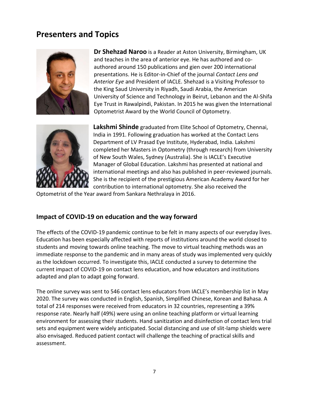# **Presenters and Topics**



**Dr Shehzad Naroo** is a Reader at Aston University, Birmingham, UK and teaches in the area of anterior eye. He has authored and coauthored around 150 publications and gien over 200 international presentations. He is Editor-in-Chief of the journal *Contact Lens and Anterior Eye* and President of IACLE. Shehzad is a Visiting Professor to the King Saud University in Riyadh, Saudi Arabia, the American University of Science and Technology in Beirut, Lebanon and the Al-Shifa Eye Trust in Rawalpindi, Pakistan. In 2015 he was given the International Optometrist Award by the World Council of Optometry.



**Lakshmi Shinde** graduated from Elite School of Optometry, Chennai, India in 1991. Following graduation has worked at the Contact Lens Department of LV Prasad Eye Institute, Hyderabad, India. Lakshmi completed her Masters in Optometry (through research) from University of New South Wales, Sydney (Australia). She is IACLE's Executive Manager of Global Education. Lakshmi has presented at national and international meetings and also has published in peer-reviewed journals. She is the recipient of the prestigious American Academy Award for her contribution to international optometry. She also received the

Optometrist of the Year award from Sankara Nethralaya in 2016.

#### **Impact of COVID-19 on education and the way forward**

The effects of the COVID-19 pandemic continue to be felt in many aspects of our everyday lives. Education has been especially affected with reports of institutions around the world closed to students and moving towards online teaching. The move to virtual teaching methods was an immediate response to the pandemic and in many areas of study was implemented very quickly as the lockdown occurred. To investigate this, IACLE conducted a survey to determine the current impact of COVID-19 on contact lens education, and how educators and institutions adapted and plan to adapt going forward.

The online survey was sent to 546 contact lens educators from IACLE's membership list in May 2020. The survey was conducted in English, Spanish, Simplified Chinese, Korean and Bahasa. A total of 214 responses were received from educators in 32 countries, representing a 39% response rate. Nearly half (49%) were using an online teaching platform or virtual learning environment for assessing their students. Hand sanitization and disinfection of contact lens trial sets and equipment were widely anticipated. Social distancing and use of slit-lamp shields were also envisaged. Reduced patient contact will challenge the teaching of practical skills and assessment.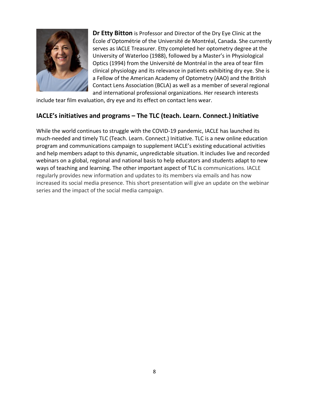

**Dr Etty Bitton** is Professor and Director of the Dry Eye Clinic at the École d'Optométrie of the Université de Montréal, Canada. She currently serves as IACLE Treasurer. Etty completed her optometry degree at the University of Waterloo (1988), followed by a Master's in Physiological Optics (1994) from the Université de Montréal in the area of tear film clinical physiology and its relevance in patients exhibiting dry eye. She is a Fellow of the American Academy of Optometry (AAO) and the British Contact Lens Association (BCLA) as well as a member of several regional and international professional organizations. Her research interests

include tear film evaluation, dry eye and its effect on contact lens wear.

#### **IACLE's initiatives and programs – The TLC (teach. Learn. Connect.) Initiative**

While the world continues to struggle with the COVID-19 pandemic, IACLE has launched its much-needed and timely TLC (Teach. Learn. Connect.) Initiative. TLC is a new online education program and communications campaign to supplement IACLE's existing educational activities and help members adapt to this dynamic, unpredictable situation. It includes live and recorded webinars on a global, regional and national basis to help educators and students adapt to new ways of teaching and learning. The other important aspect of TLC is communications. IACLE regularly provides new information and updates to its members via emails and has now increased its social media presence. This short presentation will give an update on the webinar series and the impact of the social media campaign.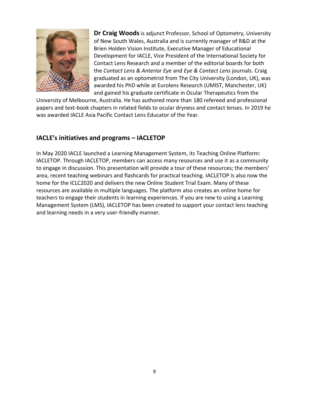

**Dr Craig Woods**is adjunct Professor, School of Optometry, University of New South Wales, Australia and is currently manager of R&D at the Brien Holden Vision Institute, Executive Manager of Educational Development for IACLE, Vice President of the International Society for Contact Lens Research and a member of the editorial boards for both the *Contact Lens & Anterior Eye* and *Eye & Contact Lens* journals. Craig graduated as an optometrist from The City University (London, UK), was awarded his PhD while at Eurolens Research (UMIST, Manchester, UK) and gained his graduate certificate in Ocular Therapeutics from the

University of Melbourne, Australia. He has authored more than 180 refereed and professional papers and text-book chapters in related fields to ocular dryness and contact lenses. In 2019 he was awarded IACLE Asia Pacific Contact Lens Educator of the Year.

#### **IACLE's initiatives and programs – IACLETOP**

In May 2020 IACLE launched a Learning Management System, its Teaching Online Platform: IACLETOP. Through IACLETOP, members can access many resources and use it as a community to engage in discussion. This presentation will provide a tour of these resources; the members' area, recent teaching webinars and flashcards for practical teaching. IACLETOP is also now the home for the ICLC2020 and delivers the new Online Student Trial Exam. Many of these resources are available in multiple languages. The platform also creates an online home for teachers to engage their students in learning experiences. If you are new to using a Learning Management System (LMS), IACLETOP has been created to support your contact lens teaching and learning needs in a very user-friendly manner.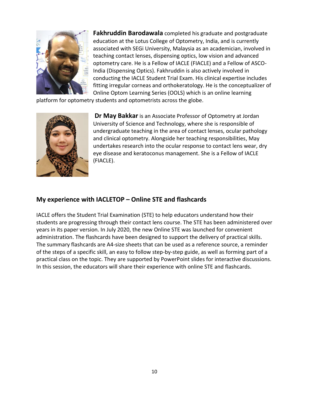

**Fakhruddin Barodawala** completed his graduate and postgraduate education at the Lotus College of Optometry, India, and is currently associated with SEGi University, Malaysia as an academician, involved in teaching contact lenses, dispensing optics, low vision and advanced optometry care. He is a Fellow of IACLE (FIACLE) and a Fellow of ASCO-India (Dispensing Optics). Fakhruddin is also actively involved in conducting the IACLE Student Trial Exam. His clinical expertise includes fitting irregular corneas and orthokeratology. He is the conceptualizer of Online Optom Learning Series (OOLS) which is an online learning

platform for optometry students and optometrists across the globe.



**Dr May Bakkar** is an Associate Professor of Optometry at Jordan University of Science and Technology, where she is responsible of undergraduate teaching in the area of contact lenses, ocular pathology and clinical optometry. Alongside her teaching responsibilities, May undertakes research into the ocular response to contact lens wear, dry eye disease and keratoconus management. She is a Fellow of IACLE (FIACLE).

#### **My experience with IACLETOP – Online STE and flashcards**

IACLE offers the Student Trial Examination (STE) to help educators understand how their students are progressing through their contact lens course. The STE has been administered over years in its paper version. In July 2020, the new Online STE was launched for convenient administration. The flashcards have been designed to support the delivery of practical skills. The summary flashcards are A4-size sheets that can be used as a reference source, a reminder of the steps of a specific skill, an easy to follow step-by-step guide, as well as forming part of a practical class on the topic. They are supported by PowerPoint slides for interactive discussions. In this session, the educators will share their experience with online STE and flashcards.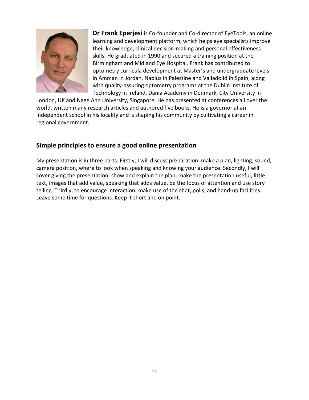

**Dr Frank Eperjesi** is Co-founder and Co-director of EyeTools, an online learning and development platform, which helps eye specialists improve their knowledge, clinical decision-making and personal effectiveness skills. He graduated in 1990 and secured a training position at the Birmingham and Midland Eye Hospital. Frank has contributed to optometry curricula development at Master's and undergraduate levels in Amman in Jordan, Nablus in Palestine and Valladolid in Spain, along with quality-assuring optometry programs at the Dublin Institute of Technology in Ireland, Dania Academy in Denmark, City University in

London, UK and Ngee Ann University, Singapore. He has presented at conferences all over the world, written many research articles and authored five books. He is a governor at an independent school in his locality and is shaping his community by cultivating a career in regional government.

#### **Simple principles to ensure a good online presentation**

My presentation is in three parts. Firstly, I will discuss preparation: make a plan, lighting, sound, camera position, where to look when speaking and knowing your audience. Secondly, I will cover giving the presentation: show and explain the plan, make the presentation useful, little text, images that add value, speaking that adds value, be the focus of attention and use story telling. Thirdly, to encourage interaction: make use of the chat, polls, and hand-up facilities. Leave some time for questions. Keep it short and on point.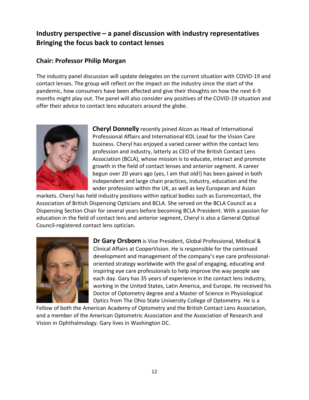### **Industry perspective – a panel discussion with industry representatives Bringing the focus back to contact lenses**

#### **Chair: Professor Philip Morgan**

The industry panel discussion will update delegates on the current situation with COVID-19 and contact lenses. The group will reflect on the impact on the industry since the start of the pandemic, how consumers have been affected and give their thoughts on how the next 6-9 months might play out. The panel will also consider any positives of the COVID-19 situation and offer their advice to contact lens educators around the globe.



**Cheryl Donnelly** recently joined Alcon as Head of International Professional Affairs and International KOL Lead for the Vision Care business. Cheryl has enjoyed a varied career within the contact lens profession and industry, latterly as CEO of the British Contact Lens Association (BCLA), whose mission is to educate, interact and promote growth in the field of contact lenses and anterior segment. A career begun over 20 years ago (yes, I am that old!) has been gained in both independent and large chain practices, industry, education and the wider profession within the UK, as well as key European and Asian

markets. Cheryl has held industry positions within optical bodies such as Euromcontact, the Association of British Dispensing Opticians and BCLA. She served on the BCLA Council as a Dispensing Section Chair for several years before becoming BCLA President. With a passion for education in the field of contact lens and anterior segment, Cheryl is also a General Optical Council-registered contact lens optician.



**Dr Gary Orsborn** is Vice President, Global Professional, Medical & Clinical Affairs at CooperVision. He is responsible for the continued development and management of the company's eye care professionaloriented strategy worldwide with the goal of engaging, educating and inspiring eye care professionals to help improve the way people see each day. Gary has 35 years of experience in the contact lens industry, working in the United States, Latin America, and Europe. He received his Doctor of Optometry degree and a Master of Science in Physiological Optics from The Ohio State University College of Optometry. He is a

Fellow of both the American Academy of Optometry and the British Contact Lens Association, and a member of the American Optometric Association and the Association of Research and Vision in Ophthalmology. Gary lives in Washington DC.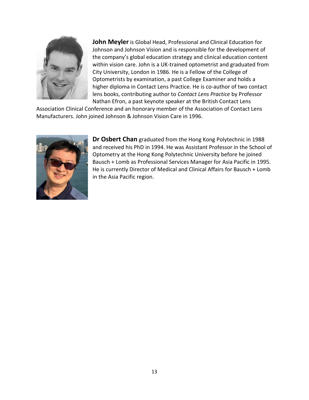

**John Meyler** is Global Head, Professional and Clinical Education for Johnson and Johnson Vision and is responsible for the development of the company's global education strategy and clinical education content within vision care. John is a UK-trained optometrist and graduated from City University, London in 1986. He is a Fellow of the College of Optometrists by examination, a past College Examiner and holds a higher diploma in Contact Lens Practice. He is co-author of two contact lens books, contributing author to *Contact Lens Practice* by Professor Nathan Efron, a past keynote speaker at the British Contact Lens

Association Clinical Conference and an honorary member of the Association of Contact Lens Manufacturers. John joined Johnson & Johnson Vision Care in 1996.



**Dr Osbert Chan** graduated from the Hong Kong Polytechnic in 1988 and received his PhD in 1994. He was Assistant Professor in the School of Optometry at the Hong Kong Polytechnic University before he joined Bausch + Lomb as Professional Services Manager for Asia Pacific in 1995. He is currently Director of Medical and Clinical Affairs for Bausch + Lomb in the Asia Pacific region.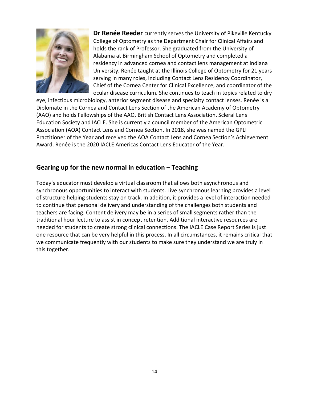

**Dr Renée Reeder** currently serves the University of Pikeville Kentucky College of Optometry as the Department Chair for Clinical Affairs and holds the rank of Professor. She graduated from the University of Alabama at Birmingham School of Optometry and completed a residency in advanced cornea and contact lens management at Indiana University. Renée taught at the Illinois College of Optometry for 21 years serving in many roles, including Contact Lens Residency Coordinator, Chief of the Cornea Center for Clinical Excellence, and coordinator of the ocular disease curriculum. She continues to teach in topics related to dry

eye, infectious microbiology, anterior segment disease and specialty contact lenses. Renée is a Diplomate in the Cornea and Contact Lens Section of the American Academy of Optometry (AAO) and holds Fellowships of the AAO, British Contact Lens Association, Scleral Lens Education Society and IACLE. She is currently a council member of the American Optometric Association (AOA) Contact Lens and Cornea Section. In 2018, she was named the GPLI Practitioner of the Year and received the AOA Contact Lens and Cornea Section's Achievement Award. Renée is the 2020 IACLE Americas Contact Lens Educator of the Year.

#### **Gearing up for the new normal in education – Teaching**

Today's educator must develop a virtual classroom that allows both asynchronous and synchronous opportunities to interact with students. Live synchronous learning provides a level of structure helping students stay on track. In addition, it provides a level of interaction needed to continue that personal delivery and understanding of the challenges both students and teachers are facing. Content delivery may be in a series of small segments rather than the traditional hour lecture to assist in concept retention. Additional interactive resources are needed for students to create strong clinical connections. The IACLE Case Report Series is just one resource that can be very helpful in this process. In all circumstances, it remains critical that we communicate frequently with our students to make sure they understand we are truly in this together.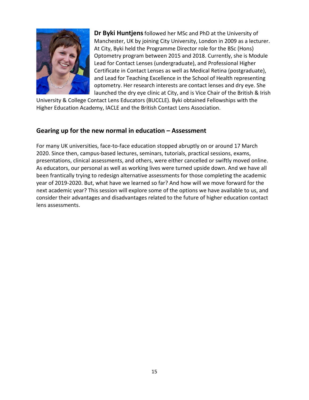

**Dr Byki Huntjens**followed her MSc and PhD at the University of Manchester, UK by joining City University, London in 2009 as a lecturer. At City, Byki held the Programme Director role for the BSc (Hons) Optometry program between 2015 and 2018. Currently, she is Module Lead for Contact Lenses (undergraduate), and Professional Higher Certificate in Contact Lenses as well as Medical Retina (postgraduate), and Lead for Teaching Excellence in the School of Health representing optometry. Her research interests are contact lenses and dry eye. She launched the dry eye clinic at City, and is Vice Chair of the British & Irish

University & College Contact Lens Educators (BUCCLE). Byki obtained Fellowships with the Higher Education Academy, IACLE and the British Contact Lens Association.

#### **Gearing up for the new normal in education – Assessment**

For many UK universities, face-to-face education stopped abruptly on or around 17 March 2020. Since then, campus-based lectures, seminars, tutorials, practical sessions, exams, presentations, clinical assessments, and others, were either cancelled or swiftly moved online. As educators, our personal as well as working lives were turned upside down. And we have all been frantically trying to redesign alternative assessments for those completing the academic year of 2019-2020. But, what have we learned so far? And how will we move forward for the next academic year? This session will explore some of the options we have available to us, and consider their advantages and disadvantages related to the future of higher education contact lens assessments.